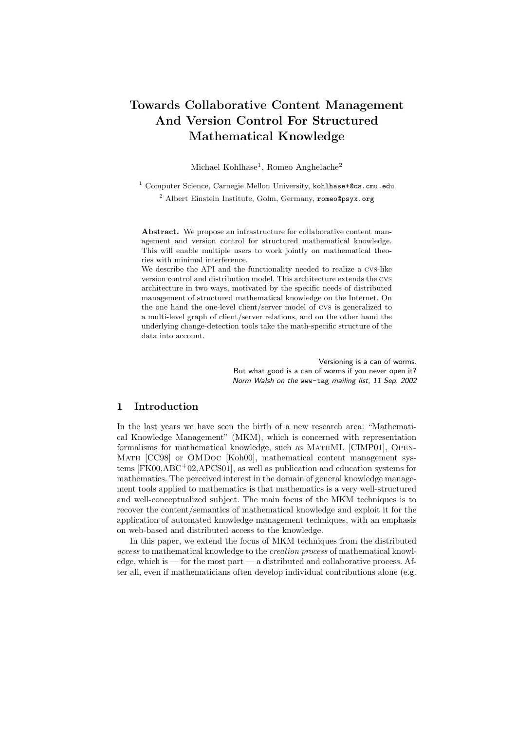# Towards Collaborative Content Management And Version Control For Structured Mathematical Knowledge

Michael Kohlhase<sup>1</sup>, Romeo Anghelache<sup>2</sup>

<sup>1</sup> Computer Science, Carnegie Mellon University, kohlhase+@cs.cmu.edu <sup>2</sup> Albert Einstein Institute, Golm, Germany, romeo@psyx.org

Abstract. We propose an infrastructure for collaborative content management and version control for structured mathematical knowledge. This will enable multiple users to work jointly on mathematical theories with minimal interference.

We describe the API and the functionality needed to realize a cvs-like version control and distribution model. This architecture extends the cvs architecture in two ways, motivated by the specific needs of distributed management of structured mathematical knowledge on the Internet. On the one hand the one-level client/server model of cvs is generalized to a multi-level graph of client/server relations, and on the other hand the underlying change-detection tools take the math-specific structure of the data into account.

> Versioning is a can of worms. But what good is a can of worms if you never open it? Norm Walsh on the www-tag mailing list, 11 Sep. 2002

## 1 Introduction

In the last years we have seen the birth of a new research area: "Mathematical Knowledge Management" (MKM), which is concerned with representation formalisms for mathematical knowledge, such as MathML [CIMP01], Open-Math [CC98] or OMDoc [Koh00], mathematical content management systems [FK00,ABC<sup>+</sup>02,APCS01], as well as publication and education systems for mathematics. The perceived interest in the domain of general knowledge management tools applied to mathematics is that mathematics is a very well-structured and well-conceptualized subject. The main focus of the MKM techniques is to recover the content/semantics of mathematical knowledge and exploit it for the application of automated knowledge management techniques, with an emphasis on web-based and distributed access to the knowledge.

In this paper, we extend the focus of MKM techniques from the distributed access to mathematical knowledge to the creation process of mathematical knowledge, which is — for the most part — a distributed and collaborative process. After all, even if mathematicians often develop individual contributions alone (e.g.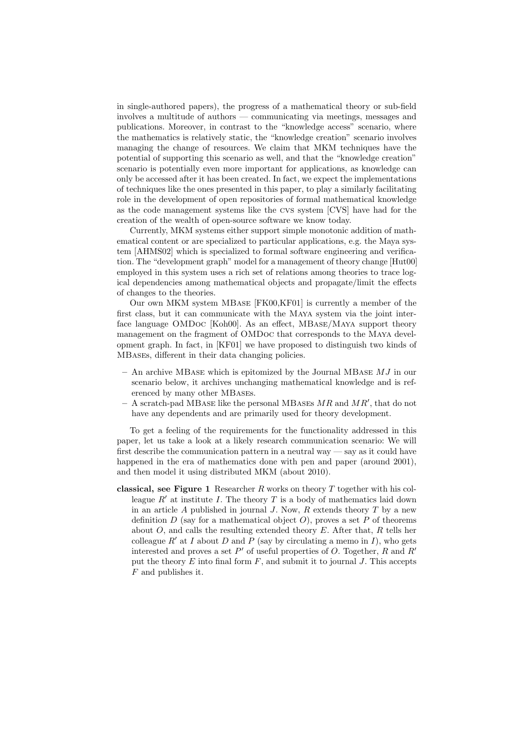in single-authored papers), the progress of a mathematical theory or sub-field involves a multitude of authors — communicating via meetings, messages and publications. Moreover, in contrast to the "knowledge access" scenario, where the mathematics is relatively static, the "knowledge creation" scenario involves managing the change of resources. We claim that MKM techniques have the potential of supporting this scenario as well, and that the "knowledge creation" scenario is potentially even more important for applications, as knowledge can only be accessed after it has been created. In fact, we expect the implementations of techniques like the ones presented in this paper, to play a similarly facilitating role in the development of open repositories of formal mathematical knowledge as the code management systems like the cvs system [CVS] have had for the creation of the wealth of open-source software we know today.

Currently, MKM systems either support simple monotonic addition of mathematical content or are specialized to particular applications, e.g. the Maya system [AHMS02] which is specialized to formal software engineering and verification. The "development graph" model for a management of theory change [Hut00] employed in this system uses a rich set of relations among theories to trace logical dependencies among mathematical objects and propagate/limit the effects of changes to the theories.

Our own MKM system MBase [FK00,KF01] is currently a member of the first class, but it can communicate with the Maya system via the joint interface language OMDoc [Koh00]. As an effect, MBase/Maya support theory management on the fragment of OMDoc that corresponds to the Maya development graph. In fact, in [KF01] we have proposed to distinguish two kinds of MBases, different in their data changing policies.

- An archive MBASE which is epitomized by the Journal MBASE  $MJ$  in our scenario below, it archives unchanging mathematical knowledge and is referenced by many other MBases.
- $-$  A scratch-pad MBASE like the personal MBASES  $MR$  and  $MR'$ , that do not have any dependents and are primarily used for theory development.

To get a feeling of the requirements for the functionality addressed in this paper, let us take a look at a likely research communication scenario: We will first describe the communication pattern in a neutral way — say as it could have happened in the era of mathematics done with pen and paper (around 2001), and then model it using distributed MKM (about 2010).

classical, see Figure 1 Researcher R works on theory  $T$  together with his colleague  $R'$  at institute I. The theory T is a body of mathematics laid down in an article A published in journal J. Now,  $R$  extends theory  $T$  by a new definition D (say for a mathematical object O), proves a set P of theorems about  $O$ , and calls the resulting extended theory  $E$ . After that,  $R$  tells her colleague  $R'$  at I about D and P (say by circulating a memo in I), who gets interested and proves a set  $P'$  of useful properties of O. Together, R and R' put the theory  $E$  into final form  $F$ , and submit it to journal  $J$ . This accepts F and publishes it.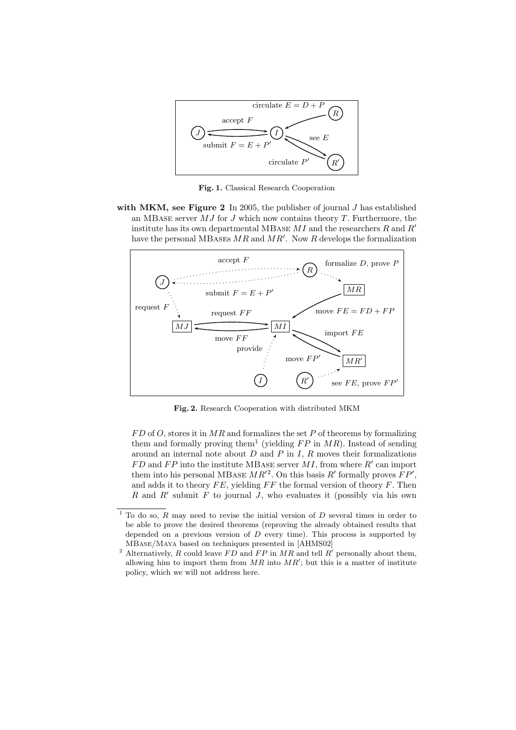

Fig. 1. Classical Research Cooperation

with MKM, see Figure 2 In 2005, the publisher of journal  $J$  has established an MBASE server  $MJ$  for  $J$  which now contains theory  $T$ . Furthermore, the institute has its own departmental MBASE  $MI$  and the researchers R and R' have the personal MBASEs  $MR$  and  $MR'$ . Now R develops the formalization



Fig. 2. Research Cooperation with distributed MKM

 $FD$  of O, stores it in  $MR$  and formalizes the set P of theorems by formalizing them and formally proving them<sup>1</sup> (yielding  $FP$  in  $MR$ ). Instead of sending around an internal note about  $D$  and  $P$  in  $I$ ,  $R$  moves their formalizations  $FD$  and  $FP$  into the institute MBASE server  $MI$ , from where  $R'$  can import them into his personal MBASE  $MR'^2$ . On this basis R' formally proves  $\overline{FP'}$ , and adds it to theory  $FE$ , yielding  $FF$  the formal version of theory  $F$ . Then R and R' submit  $\tilde{F}$  to journal  $\tilde{J}$ , who evaluates it (possibly via his own

 $1$  To do so, R may need to revise the initial version of D several times in order to be able to prove the desired theorems (reproving the already obtained results that depended on a previous version of  $D$  every time). This process is supported by MBase/Maya based on techniques presented in [AHMS02]

<sup>&</sup>lt;sup>2</sup> Alternatively, R could leave  $FD$  and  $FP$  in MR and tell R' personally about them, allowing him to import them from  $MR$  into  $MR'$ ; but this is a matter of institute policy, which we will not address here.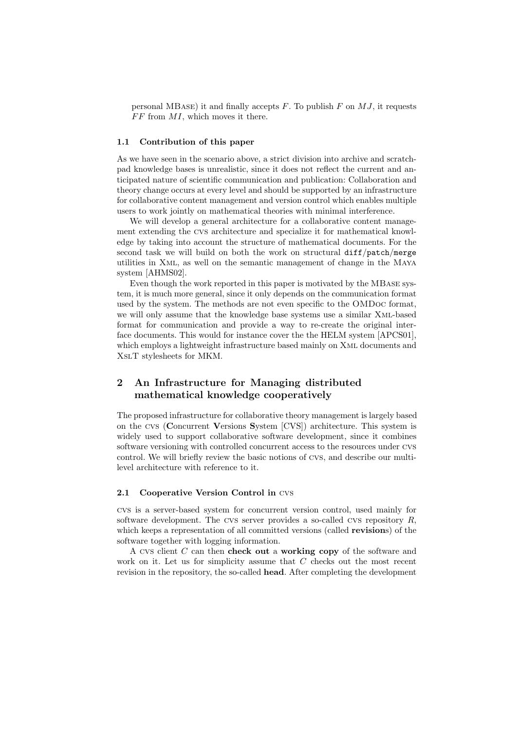personal MBASE) it and finally accepts  $F$ . To publish  $F$  on  $MJ$ , it requests FF from MI, which moves it there.

#### 1.1 Contribution of this paper

As we have seen in the scenario above, a strict division into archive and scratchpad knowledge bases is unrealistic, since it does not reflect the current and anticipated nature of scientific communication and publication: Collaboration and theory change occurs at every level and should be supported by an infrastructure for collaborative content management and version control which enables multiple users to work jointly on mathematical theories with minimal interference.

We will develop a general architecture for a collaborative content management extending the cvs architecture and specialize it for mathematical knowledge by taking into account the structure of mathematical documents. For the second task we will build on both the work on structural diff/patch/merge utilities in Xml, as well on the semantic management of change in the Maya system [AHMS02].

Even though the work reported in this paper is motivated by the MBase system, it is much more general, since it only depends on the communication format used by the system. The methods are not even specific to the OMDoc format, we will only assume that the knowledge base systems use a similar Xml-based format for communication and provide a way to re-create the original interface documents. This would for instance cover the the HELM system [APCS01], which employs a lightweight infrastructure based mainly on XML documents and XslT stylesheets for MKM.

## 2 An Infrastructure for Managing distributed mathematical knowledge cooperatively

The proposed infrastructure for collaborative theory management is largely based on the cvs (Concurrent Versions System [CVS]) architecture. This system is widely used to support collaborative software development, since it combines software versioning with controlled concurrent access to the resources under cvs control. We will briefly review the basic notions of cvs, and describe our multilevel architecture with reference to it.

#### 2.1 Cooperative Version Control in cvs

cvs is a server-based system for concurrent version control, used mainly for software development. The CVS server provides a so-called CVS repository  $R$ , which keeps a representation of all committed versions (called **revisions**) of the software together with logging information.

A cvs client C can then check out a working copy of the software and work on it. Let us for simplicity assume that C checks out the most recent revision in the repository, the so-called head. After completing the development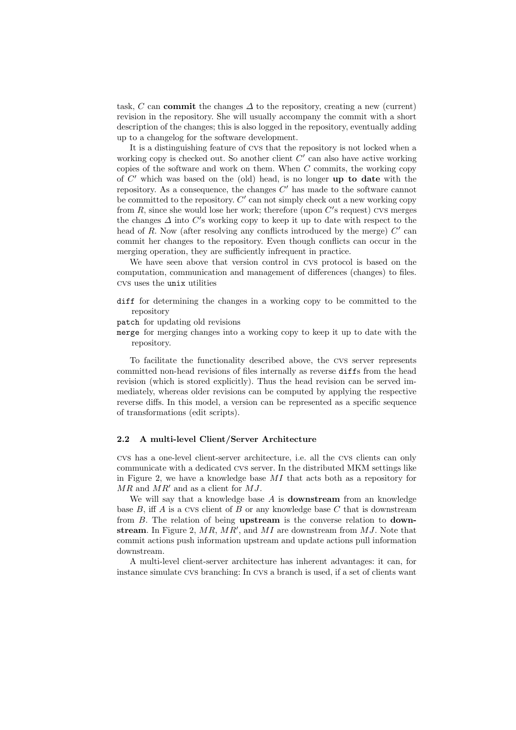task, C can commit the changes  $\Delta$  to the repository, creating a new (current) revision in the repository. She will usually accompany the commit with a short description of the changes; this is also logged in the repository, eventually adding up to a changelog for the software development.

It is a distinguishing feature of cvs that the repository is not locked when a working copy is checked out. So another client  $C'$  can also have active working copies of the software and work on them. When  $C$  commits, the working copy of  $C'$  which was based on the (old) head, is no longer up to date with the repository. As a consequence, the changes  $C'$  has made to the software cannot be committed to the repository.  $C'$  can not simply check out a new working copy from  $R$ , since she would lose her work; therefore (upon  $C'$ s request) cvs merges the changes  $\Delta$  into C's working copy to keep it up to date with respect to the head of  $R$ . Now (after resolving any conflicts introduced by the merge)  $C'$  can commit her changes to the repository. Even though conflicts can occur in the merging operation, they are sufficiently infrequent in practice.

We have seen above that version control in cvs protocol is based on the computation, communication and management of differences (changes) to files. cvs uses the unix utilities

- diff for determining the changes in a working copy to be committed to the repository
- patch for updating old revisions
- merge for merging changes into a working copy to keep it up to date with the repository.

To facilitate the functionality described above, the cvs server represents committed non-head revisions of files internally as reverse diffs from the head revision (which is stored explicitly). Thus the head revision can be served immediately, whereas older revisions can be computed by applying the respective reverse diffs. In this model, a version can be represented as a specific sequence of transformations (edit scripts).

#### 2.2 A multi-level Client/Server Architecture

cvs has a one-level client-server architecture, i.e. all the cvs clients can only communicate with a dedicated cvs server. In the distributed MKM settings like in Figure 2, we have a knowledge base  $MI$  that acts both as a repository for  $MR$  and  $MR'$  and as a client for  $MJ$ .

We will say that a knowledge base  $A$  is **downstream** from an knowledge base  $B$ , iff  $A$  is a cvs client of  $B$  or any knowledge base  $C$  that is downstream from B. The relation of being upstream is the converse relation to downstream. In Figure 2,  $MR$ ,  $MR'$ , and  $MI$  are downstream from  $MJ$ . Note that commit actions push information upstream and update actions pull information downstream.

A multi-level client-server architecture has inherent advantages: it can, for instance simulate cvs branching: In cvs a branch is used, if a set of clients want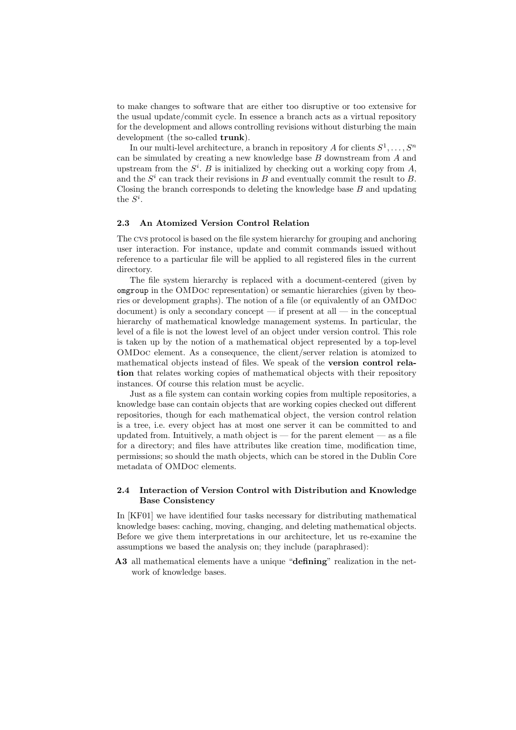to make changes to software that are either too disruptive or too extensive for the usual update/commit cycle. In essence a branch acts as a virtual repository for the development and allows controlling revisions without disturbing the main development (the so-called **trunk**).

In our multi-level architecture, a branch in repository A for clients  $S^1, \ldots, S^n$ can be simulated by creating a new knowledge base  $B$  downstream from  $A$  and upstream from the  $S^i$ . B is initialized by checking out a working copy from A, and the  $S^i$  can track their revisions in B and eventually commit the result to B. Closing the branch corresponds to deleting the knowledge base  $B$  and updating the  $S^i$ .

#### 2.3 An Atomized Version Control Relation

The cvs protocol is based on the file system hierarchy for grouping and anchoring user interaction. For instance, update and commit commands issued without reference to a particular file will be applied to all registered files in the current directory.

The file system hierarchy is replaced with a document-centered (given by omgroup in the OMDoc representation) or semantic hierarchies (given by theories or development graphs). The notion of a file (or equivalently of an OMDoc  $\alpha$  document) is only a secondary concept — if present at all — in the conceptual hierarchy of mathematical knowledge management systems. In particular, the level of a file is not the lowest level of an object under version control. This role is taken up by the notion of a mathematical object represented by a top-level OMDoc element. As a consequence, the client/server relation is atomized to mathematical objects instead of files. We speak of the version control relation that relates working copies of mathematical objects with their repository instances. Of course this relation must be acyclic.

Just as a file system can contain working copies from multiple repositories, a knowledge base can contain objects that are working copies checked out different repositories, though for each mathematical object, the version control relation is a tree, i.e. every object has at most one server it can be committed to and updated from. Intuitively, a math object is — for the parent element — as a file for a directory; and files have attributes like creation time, modification time, permissions; so should the math objects, which can be stored in the Dublin Core metadata of OMDoc elements.

### 2.4 Interaction of Version Control with Distribution and Knowledge Base Consistency

In [KF01] we have identified four tasks necessary for distributing mathematical knowledge bases: caching, moving, changing, and deleting mathematical objects. Before we give them interpretations in our architecture, let us re-examine the assumptions we based the analysis on; they include (paraphrased):

A3 all mathematical elements have a unique "defining" realization in the network of knowledge bases.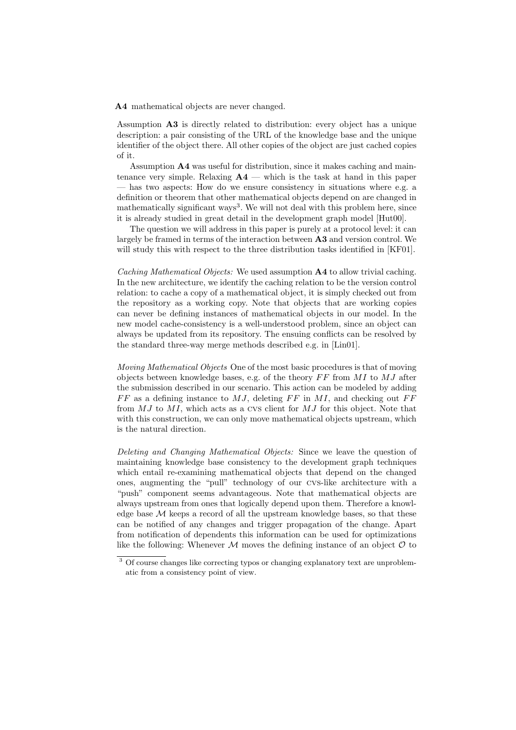A4 mathematical objects are never changed.

Assumption A3 is directly related to distribution: every object has a unique description: a pair consisting of the URL of the knowledge base and the unique identifier of the object there. All other copies of the object are just cached copies of it.

Assumption A4 was useful for distribution, since it makes caching and maintenance very simple. Relaxing  $\mathbf{A4}$  — which is the task at hand in this paper — has two aspects: How do we ensure consistency in situations where e.g. a definition or theorem that other mathematical objects depend on are changed in mathematically significant ways<sup>3</sup>. We will not deal with this problem here, since it is already studied in great detail in the development graph model [Hut00].

The question we will address in this paper is purely at a protocol level: it can largely be framed in terms of the interaction between A3 and version control. We will study this with respect to the three distribution tasks identified in [KF01].

Caching Mathematical Objects: We used assumption A4 to allow trivial caching. In the new architecture, we identify the caching relation to be the version control relation: to cache a copy of a mathematical object, it is simply checked out from the repository as a working copy. Note that objects that are working copies can never be defining instances of mathematical objects in our model. In the new model cache-consistency is a well-understood problem, since an object can always be updated from its repository. The ensuing conflicts can be resolved by the standard three-way merge methods described e.g. in [Lin01].

Moving Mathematical Objects One of the most basic procedures is that of moving objects between knowledge bases, e.g. of the theory  $FF$  from  $MI$  to  $MJ$  after the submission described in our scenario. This action can be modeled by adding  $FF$  as a defining instance to  $MJ$ , deleting  $FF$  in  $MI$ , and checking out  $FF$ from  $MJ$  to  $MI$ , which acts as a CVS client for  $MJ$  for this object. Note that with this construction, we can only move mathematical objects upstream, which is the natural direction.

Deleting and Changing Mathematical Objects: Since we leave the question of maintaining knowledge base consistency to the development graph techniques which entail re-examining mathematical objects that depend on the changed ones, augmenting the "pull" technology of our cvs-like architecture with a "push" component seems advantageous. Note that mathematical objects are always upstream from ones that logically depend upon them. Therefore a knowledge base  $M$  keeps a record of all the upstream knowledge bases, so that these can be notified of any changes and trigger propagation of the change. Apart from notification of dependents this information can be used for optimizations like the following: Whenever  $\mathcal M$  moves the defining instance of an object  $\mathcal O$  to

<sup>&</sup>lt;sup>3</sup> Of course changes like correcting typos or changing explanatory text are unproblematic from a consistency point of view.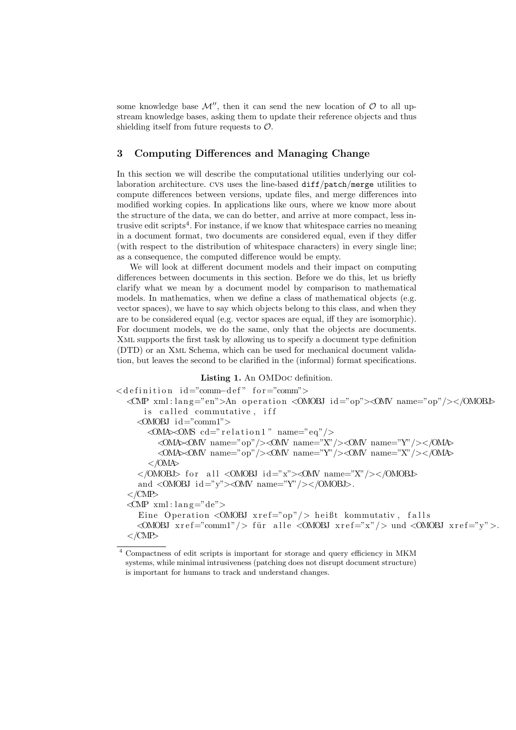some knowledge base  $\mathcal{M}''$ , then it can send the new location of  $\mathcal O$  to all upstream knowledge bases, asking them to update their reference objects and thus shielding itself from future requests to  $\mathcal{O}$ .

## 3 Computing Differences and Managing Change

In this section we will describe the computational utilities underlying our collaboration architecture. cvs uses the line-based diff/patch/merge utilities to compute differences between versions, update files, and merge differences into modified working copies. In applications like ours, where we know more about the structure of the data, we can do better, and arrive at more compact, less intrusive edit scripts<sup>4</sup>. For instance, if we know that whitespace carries no meaning in a document format, two documents are considered equal, even if they differ (with respect to the distribution of whitespace characters) in every single line; as a consequence, the computed difference would be empty.

We will look at different document models and their impact on computing differences between documents in this section. Before we do this, let us briefly clarify what we mean by a document model by comparison to mathematical models. In mathematics, when we define a class of mathematical objects (e.g. vector spaces), we have to say which objects belong to this class, and when they are to be considered equal (e.g. vector spaces are equal, iff they are isomorphic). For document models, we do the same, only that the objects are documents. Xml supports the first task by allowing us to specify a document type definition (DTD) or an Xml Schema, which can be used for mechanical document validation, but leaves the second to be clarified in the (informal) format specifications.

#### Listing 1. An OMDoc definition.

<definition id="comm-def" for="comm"> <CMP xml : lang="en">An ope r a ti on <OMOBJ id="op"><OMV name="op"/></OMOBJ> is called commutative, iff  $\langle$ OMOBJ id="comm1">  $<$ OMA $<$ OMS cd="relation1" name="eq"/> <OMA><OMV name="op"/><OMV name="X"/><OMV name="Y"/></OMA>  $\langle$ OMA $\rangle$ OMV name="op"/> $\langle$ OMV name="Y"/> $\langle$ OMV name="X"/> $\langle$ /OMA  $<$ /OMA $>$  $\langle$ /OMOBJ> for all  $\langle$ OMOBJ id="x"> $\langle$ OMV name="X"/> $\langle$ /OMOBJ> and  $\langle$ OMOBJ id="y"> $\langle$ OMV name="Y"/> $\langle$ /OMOBJ>.  $\langle$  /CMP>  $\langle \text{CMP } xml : \text{lang} = "de" \rangle$ Eine Operation  $\langle$ OMOBJ xref="op"/> heißt kommutativ, falls  $\langle$ OMOBJ xref="comm1"/> für alle  $\langle$ OMOBJ xref="x"/> und  $\langle$ OMOBJ xref="y">.  $<$ /CMP>

<sup>4</sup> Compactness of edit scripts is important for storage and query efficiency in MKM systems, while minimal intrusiveness (patching does not disrupt document structure) is important for humans to track and understand changes.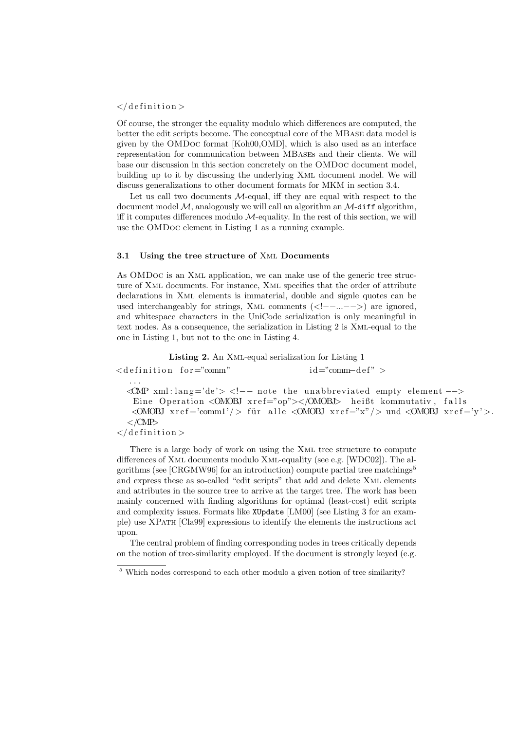#### $\langle$  definition >

Of course, the stronger the equality modulo which differences are computed, the better the edit scripts become. The conceptual core of the MBase data model is given by the OMDoc format [Koh00,OMD], which is also used as an interface representation for communication between MBases and their clients. We will base our discussion in this section concretely on the OMDoc document model, building up to it by discussing the underlying Xml document model. We will discuss generalizations to other document formats for MKM in section 3.4.

Let us call two documents  $M$ -equal, iff they are equal with respect to the document model  $M$ , analogously we will call an algorithm an  $M$ -diff algorithm, iff it computes differences modulo  $\mathcal{M}$ -equality. In the rest of this section, we will use the OMDoc element in Listing 1 as a running example.

#### 3.1 Using the tree structure of Xml Documents

As OMDoc is an Xml application, we can make use of the generic tree structure of Xml documents. For instance, Xml specifies that the order of attribute declarations in Xml elements is immaterial, double and signle quotes can be used interchangeably for strings, XML comments  $\left\langle \langle -|-\ldots-|\rangle\right\rangle$  are ignored, and whitespace characters in the UniCode serialization is only meaningful in text nodes. As a consequence, the serialization in Listing 2 is Xml-equal to the one in Listing 1, but not to the one in Listing 4.

Listing 2. An Xml-equal serialization for Listing 1

 $\langle$  definition for="comm" id="comm-def" >

. . . <CMP xml : lang='de '> <!−− note the unabbreviated empty element −−> Eine Operation < OMOBJ xref="op"></OMOBJ> heißt kommutativ, falls  $\langle$ OMOBJ xref='comm1'/> für alle  $\langle$ OMOBJ xref="x"/> und  $\langle$ OMOBJ xref='y'>.  $\langle$  CMP $>$  $\langle$  definition >

There is a large body of work on using the Xml tree structure to compute differences of Xml documents modulo Xml-equality (see e.g. [WDC02]). The algorithms (see [CRGMW96] for an introduction) compute partial tree matchings<sup>5</sup> and express these as so-called "edit scripts" that add and delete Xml elements and attributes in the source tree to arrive at the target tree. The work has been mainly concerned with finding algorithms for optimal (least-cost) edit scripts and complexity issues. Formats like XUpdate [LM00] (see Listing 3 for an example) use XPath [Cla99] expressions to identify the elements the instructions act upon.

The central problem of finding corresponding nodes in trees critically depends on the notion of tree-similarity employed. If the document is strongly keyed (e.g.

<sup>&</sup>lt;sup>5</sup> Which nodes correspond to each other modulo a given notion of tree similarity?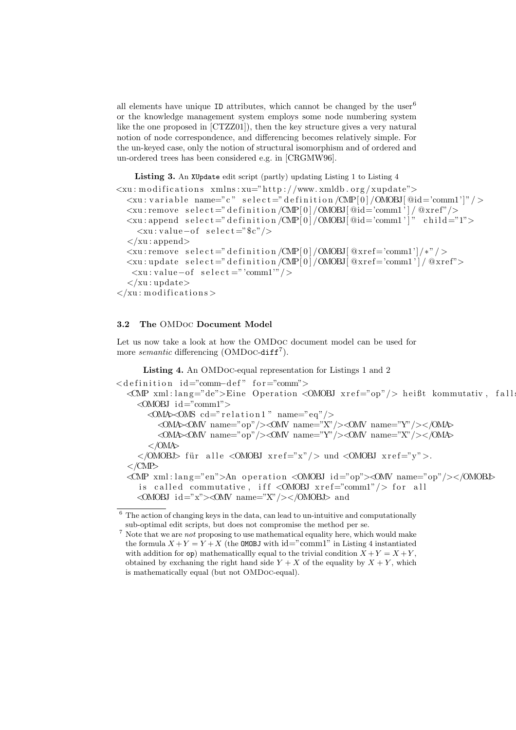all elements have unique ID attributes, which cannot be changed by the user  $6$ or the knowledge management system employs some node numbering system like the one proposed in [CTZZ01]), then the key structure gives a very natural notion of node correspondence, and differencing becomes relatively simple. For the un-keyed case, only the notion of structural isomorphism and of ordered and un-ordered trees has been considered e.g. in [CRGMW96].

Listing 3. An XUpdate edit script (partly) updating Listing 1 to Listing 4

```
\langle xu : \text{modifications } xm\text{lns} : xu = "http://www.xmldb.org/xupdate" \rangle\langle xu : v \text{ariable name="c" is elect} = d \text{e} definition \langle \text{CMP}[0] / \text{OMOBI}[0] \text{d} = \langle \text{comm1'} \rangle\langle xu : \text{remove} \ \text{select} = \text{"definition} / \text{CMP}[0] / \text{OMOBI}[\text{Qid} = \text{'comm1'}]/\text{Q} \text{xref"}\langle xu : \text{append} \ \text{select} = \text{"definition} / \text{CMD}[0] / \text{OMOBI} \text{@id} = \text{'comm1'} \text{\'i} \ \text{child} = \text{"1"}<xu : value−o f s e l e c t="$c"/>
    \langle xu : \text{append}\rangle\langle xu : \text{remove} \ \text{select} = \text{"definition} / \text{CMP}[0] / \text{OMOBI}\langle \text{0xref} = \text{'comm1'} / \cdot \text{%}\langle xu : update \; select = "definition /CMP[0] /OMOBJ[@xref='comm1'] / @xref" \rangle<xu : value−o f s e l e c t ="'comm1'"/>
    \langle xu : update \rangle\langle x_1 \rangle : modifications
```
#### 3.2 The OMDoc Document Model

Let us now take a look at how the OMDoc document model can be used for more *semantic* differencing  $(OMDOC-diff^7)$ .

Listing 4. An OMDoc-equal representation for Listings 1 and 2

```
<definition id="comm-def" for="comm">
  \langle \text{CMP} \times \text{Mn} : \text{lang} = \text{de} \rangleEine Operation \langle \text{OMOBJ} \times \text{ref} = \text{op} \rangle /> heißt kommutativ, fall
     \langleOMOBJ id="comm1">
       \langleOMA\langleOMS cd=" relation1" name="eq"/>
          <OMA><OMV name="op"/><OMV name="X"/><OMV name="Y"/></OMA>
          <OMA><OMV name="op"/><OMV name="Y"/><OMV name="X"/></OMA>
       </OMA>\langle/OMOBJ> für alle \langleOMOBJ xref="x"/> und \langleOMOBJ xref="y">.
  \langle /CMP>
  <CMP xml : lang="en">An ope r a ti on <OMOBJ id="op"><OMV name="op"/></OMOBJ>
     is called commutative, iff \langleOMOBJ xref="comm1"/> for all
     <OMOBJ id="x"><OMV name="X"/></OMOBJ> and
```
 $^6$  The action of changing keys in the data, can lead to un-intuitive and computationally sub-optimal edit scripts, but does not compromise the method per se.

 $7$  Note that we are *not* proposing to use mathematical equality here, which would make the formula  $X + Y = Y + X$  (the **OMOBJ** with id="comm1" in Listing 4 instantiated with addition for  $op$ ) mathematicallly equal to the trivial condition  $X + Y = X + Y$ , obtained by exchaning the right hand side  $Y + X$  of the equality by  $X + Y$ , which is mathematically equal (but not OMDoc-equal).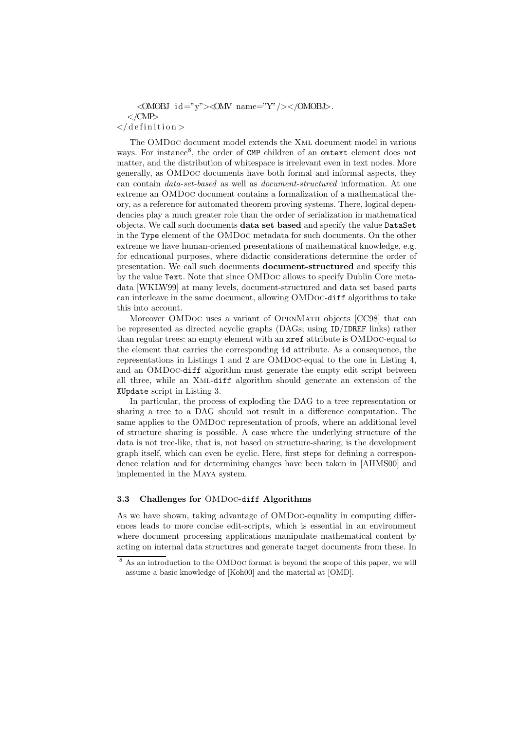<OMOBJ id="y"><OMV name="Y"/></OMOBJ>.  $\langle$  /CMP $\rangle$  $\langle$  definition >

The OMDoc document model extends the Xml document model in various ways. For instance<sup>8</sup>, the order of CMP children of an omtext element does not matter, and the distribution of whitespace is irrelevant even in text nodes. More generally, as OMDoc documents have both formal and informal aspects, they can contain data-set-based as well as document-structured information. At one extreme an OMDoc document contains a formalization of a mathematical theory, as a reference for automated theorem proving systems. There, logical dependencies play a much greater role than the order of serialization in mathematical objects. We call such documents data set based and specify the value DataSet in the Type element of the OMDoc metadata for such documents. On the other extreme we have human-oriented presentations of mathematical knowledge, e.g. for educational purposes, where didactic considerations determine the order of presentation. We call such documents document-structured and specify this by the value Text. Note that since OMDoc allows to specify Dublin Core metadata [WKLW99] at many levels, document-structured and data set based parts can interleave in the same document, allowing OMDoc-diff algorithms to take this into account.

Moreover OMDoc uses a variant of OpenMath objects [CC98] that can be represented as directed acyclic graphs (DAGs; using ID/IDREF links) rather than regular trees: an empty element with an xref attribute is OMDoc-equal to the element that carries the corresponding id attribute. As a consequence, the representations in Listings 1 and 2 are OMDoc-equal to the one in Listing 4, and an OMDoc-diff algorithm must generate the empty edit script between all three, while an Xml-diff algorithm should generate an extension of the XUpdate script in Listing 3.

In particular, the process of exploding the DAG to a tree representation or sharing a tree to a DAG should not result in a difference computation. The same applies to the OMDoc representation of proofs, where an additional level of structure sharing is possible. A case where the underlying structure of the data is not tree-like, that is, not based on structure-sharing, is the development graph itself, which can even be cyclic. Here, first steps for defining a correspondence relation and for determining changes have been taken in [AHMS00] and implemented in the Maya system.

## 3.3 Challenges for OMDoc-diff Algorithms

As we have shown, taking advantage of OMDoc-equality in computing differences leads to more concise edit-scripts, which is essential in an environment where document processing applications manipulate mathematical content by acting on internal data structures and generate target documents from these. In

<sup>8</sup> As an introduction to the OMDoc format is beyond the scope of this paper, we will assume a basic knowledge of [Koh00] and the material at [OMD].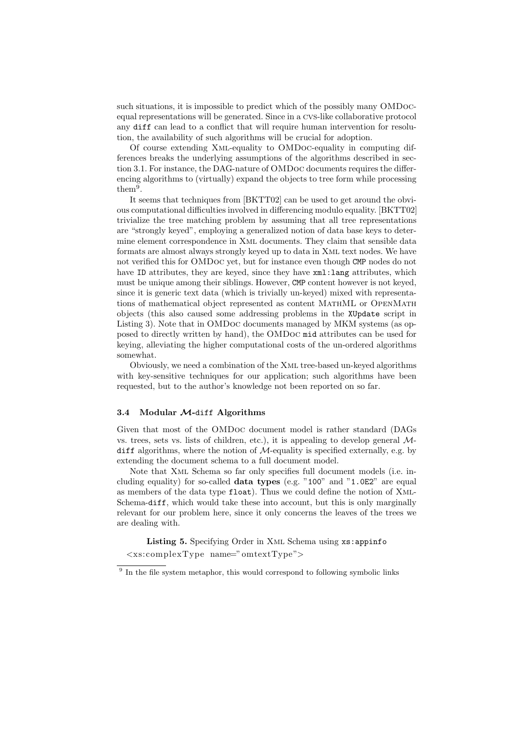such situations, it is impossible to predict which of the possibly many OMDocequal representations will be generated. Since in a cvs-like collaborative protocol any diff can lead to a conflict that will require human intervention for resolution, the availability of such algorithms will be crucial for adoption.

Of course extending Xml-equality to OMDoc-equality in computing differences breaks the underlying assumptions of the algorithms described in section 3.1. For instance, the DAG-nature of OMDoc documents requires the differencing algorithms to (virtually) expand the objects to tree form while processing them<sup>9</sup>.

It seems that techniques from [BKTT02] can be used to get around the obvious computational difficulties involved in differencing modulo equality. [BKTT02] trivialize the tree matching problem by assuming that all tree representations are "strongly keyed", employing a generalized notion of data base keys to determine element correspondence in Xml documents. They claim that sensible data formats are almost always strongly keyed up to data in Xml text nodes. We have not verified this for OMDoc yet, but for instance even though CMP nodes do not have ID attributes, they are keyed, since they have  $xml:lang$  attributes, which must be unique among their siblings. However, CMP content however is not keyed, since it is generic text data (which is trivially un-keyed) mixed with representations of mathematical object represented as content MATHML or OPENMATH objects (this also caused some addressing problems in the XUpdate script in Listing 3). Note that in OMDoc documents managed by MKM systems (as opposed to directly written by hand), the OMDoc mid attributes can be used for keying, alleviating the higher computational costs of the un-ordered algorithms somewhat.

Obviously, we need a combination of the Xml tree-based un-keyed algorithms with key-sensitive techniques for our application; such algorithms have been requested, but to the author's knowledge not been reported on so far.

#### 3.4 Modular M-diff Algorithms

Given that most of the OMDoc document model is rather standard (DAGs vs. trees, sets vs. lists of children, etc.), it is appealing to develop general  $\mathcal{M}$ diff algorithms, where the notion of  $M$ -equality is specified externally, e.g. by extending the document schema to a full document model.

Note that Xml Schema so far only specifies full document models (i.e. including equality) for so-called data types (e.g. "100" and "1.0E2" are equal as members of the data type float). Thus we could define the notion of Xml-Schema-diff, which would take these into account, but this is only marginally relevant for our problem here, since it only concerns the leaves of the trees we are dealing with.

Listing 5. Specifying Order in Xml Schema using xs:appinfo <xs:complexType name="omtextType">

<sup>&</sup>lt;sup>9</sup> In the file system metaphor, this would correspond to following symbolic links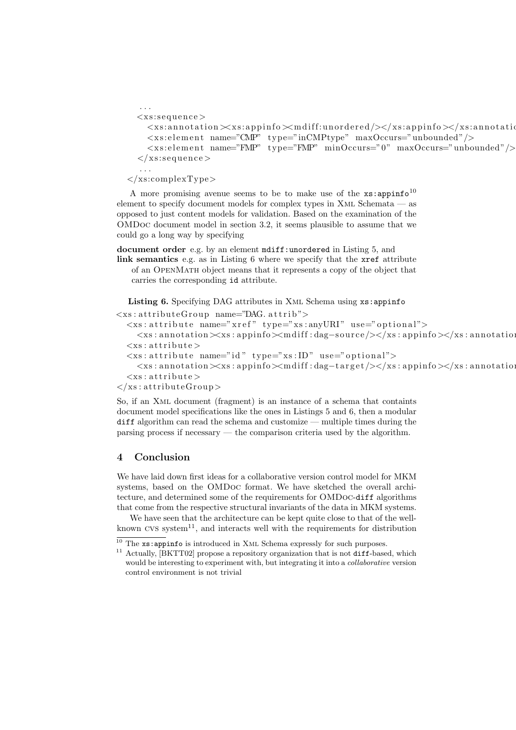```
. . .
<xs:sequence >
     \langle x \rangle <xs: annotation \times xs: appinfo\times xmdiff:unordered/\times/xs: appinfo\times xs: annotation
     \langle x s : element name="CMP" type="inCMPtype" maxOccurs="unbounded"/>
     \langle x \rangle = \langle x \rangle = \langle x \rangle = \langle x \rangle = \langle x \rangle = \langle x \rangle = \langle x \rangle = \langle y \rangle = \langle y \rangle = \langle y \rangle = \langle y \rangle = \langle y \rangle = \langle y \rangle = \langle y \rangle = \langle y \rangle = \langle y \rangle = \langle y \rangle = \langle y \rangle = \langle y \rangle = \langle y \rangle = \langle y \rangle = \langle y \rangle = \langlexs:sequence>
  . . .
```

```
\langlexs:complexType\rangle
```
A more promising avenue seems to be to make use of the  $xs:$ appinfo<sup>10</sup> element to specify document models for complex types in Xml Schemata — as opposed to just content models for validation. Based on the examination of the OMDoc document model in section 3.2, it seems plausible to assume that we could go a long way by specifying

document order e.g. by an element mdiff:unordered in Listing 5, and

link semantics e.g. as in Listing 6 where we specify that the xref attribute of an OpenMath object means that it represents a copy of the object that carries the corresponding id attribute.

Listing 6. Specifying DAG attributes in XML Schema using  $xs$ : appinfo

```
\langle x s : \text{attributeGroup name="DAG. attribute" \rangle\langle x s : \text{attribute } name=" \text{xref" type="xs : anyURI" use="optional" \rangle<xs : annotation><xs : appinfo><mdiff : dag−sour c e/></xs : appinfo ></xs : annotation>
  \langle xs:attribute \rangle\langle x s : \text{attribute } name = "id" type = "xs : ID" use = "optional" \rangle<xs : annotation><xs : appinfo><mdiff : dag−t a r g e t/></xs : appinfo ></xs : annotation>
  \langle xs:attribute \rangle
```
 $\langle x s : \text{attributeGroup} \rangle$ 

So, if an Xml document (fragment) is an instance of a schema that containts document model specifications like the ones in Listings 5 and 6, then a modular diff algorithm can read the schema and customize — multiple times during the parsing process if necessary — the comparison criteria used by the algorithm.

## 4 Conclusion

We have laid down first ideas for a collaborative version control model for MKM systems, based on the OMDoc format. We have sketched the overall architecture, and determined some of the requirements for OMDoc-diff algorithms that come from the respective structural invariants of the data in MKM systems.

We have seen that the architecture can be kept quite close to that of the wellknown  $\text{cvs system}^{11}$ , and interacts well with the requirements for distribution

 $10$  The  $xs:$ appinfo is introduced in XML Schema expressly for such purposes.

<sup>&</sup>lt;sup>11</sup> Actually, [BKTT02] propose a repository organization that is not diff-based, which would be interesting to experiment with, but integrating it into a collaborative version control environment is not trivial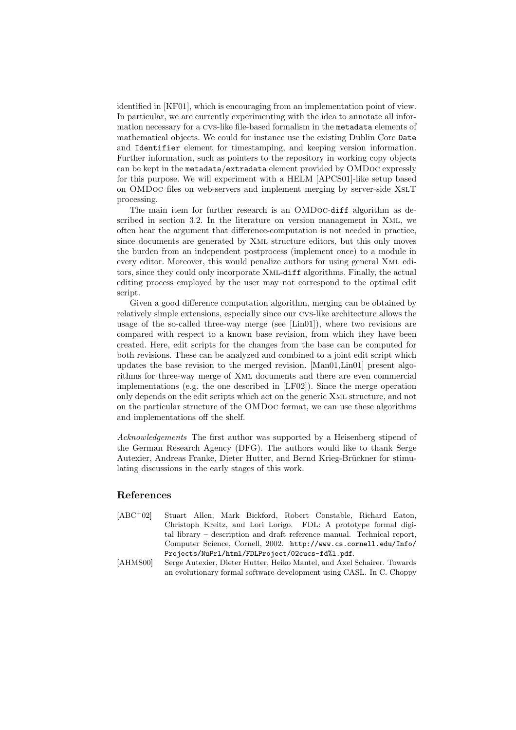identified in [KF01], which is encouraging from an implementation point of view. In particular, we are currently experimenting with the idea to annotate all information necessary for a cvs-like file-based formalism in the metadata elements of mathematical objects. We could for instance use the existing Dublin Core Date and Identifier element for timestamping, and keeping version information. Further information, such as pointers to the repository in working copy objects can be kept in the metadata/extradata element provided by OMDoc expressly for this purpose. We will experiment with a HELM [APCS01]-like setup based on OMDoc files on web-servers and implement merging by server-side XslT processing.

The main item for further research is an OMDoc-diff algorithm as described in section 3.2. In the literature on version management in Xml, we often hear the argument that difference-computation is not needed in practice, since documents are generated by Xml structure editors, but this only moves the burden from an independent postprocess (implement once) to a module in every editor. Moreover, this would penalize authors for using general Xml editors, since they could only incorporate Xml-diff algorithms. Finally, the actual editing process employed by the user may not correspond to the optimal edit script.

Given a good difference computation algorithm, merging can be obtained by relatively simple extensions, especially since our cvs-like architecture allows the usage of the so-called three-way merge (see [Lin01]), where two revisions are compared with respect to a known base revision, from which they have been created. Here, edit scripts for the changes from the base can be computed for both revisions. These can be analyzed and combined to a joint edit script which updates the base revision to the merged revision. [Man01,Lin01] present algorithms for three-way merge of Xml documents and there are even commercial implementations (e.g. the one described in [LF02]). Since the merge operation only depends on the edit scripts which act on the generic Xml structure, and not on the particular structure of the OMDoc format, we can use these algorithms and implementations off the shelf.

Acknowledgements The first author was supported by a Heisenberg stipend of the German Research Agency (DFG). The authors would like to thank Serge Autexier, Andreas Franke, Dieter Hutter, and Bernd Krieg-Brückner for stimulating discussions in the early stages of this work.

#### References

- [ABC<sup>+</sup>02] Stuart Allen, Mark Bickford, Robert Constable, Richard Eaton, Christoph Kreitz, and Lori Lorigo. FDL: A prototype formal digital library – description and draft reference manual. Technical report, Computer Science, Cornell, 2002. http://www.cs.cornell.edu/Info/ Projects/NuPrl/html/FDLProject/02cucs-fd%l.pdf.
- [AHMS00] Serge Autexier, Dieter Hutter, Heiko Mantel, and Axel Schairer. Towards an evolutionary formal software-development using CASL. In C. Choppy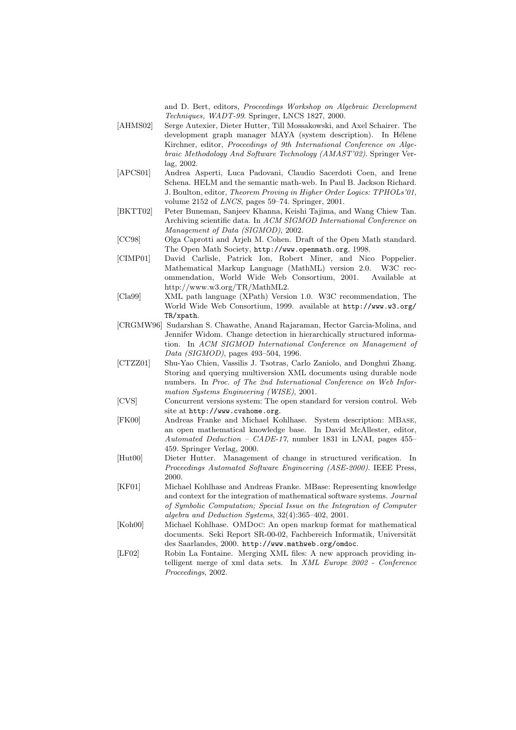and D. Bert, editors, Proceedings Workshop on Algebraic Development Techniques, WADT-99. Springer, LNCS 1827, 2000.

- [AHMS02] Serge Autexier, Dieter Hutter, Till Mossakowski, and Axel Schairer. The development graph manager MAYA (system description). In Hélene Kirchner, editor, Proceedings of 9th International Conference on Algebraic Methodology And Software Technology (AMAST'02). Springer Verlag, 2002.
- [APCS01] Andrea Asperti, Luca Padovani, Claudio Sacerdoti Coen, and Irene Schena. HELM and the semantic math-web. In Paul B. Jackson Richard. J. Boulton, editor, Theorem Proving in Higher Order Logics: TPHOLs'01, volume 2152 of LNCS, pages 59–74. Springer, 2001.
- [BKTT02] Peter Buneman, Sanjeev Khanna, Keishi Tajima, and Wang Chiew Tan. Archiving scientific data. In ACM SIGMOD International Conference on Management of Data (SIGMOD), 2002.
- [CC98] Olga Caprotti and Arjeh M. Cohen. Draft of the Open Math standard. The Open Math Society, http://www.openmath.org, 1998.
- [CIMP01] David Carlisle, Patrick Ion, Robert Miner, and Nico Poppelier. Mathematical Markup Language (MathML) version 2.0. W3C recommendation, World Wide Web Consortium, 2001. Available at http://www.w3.org/TR/MathML2.
- [Cla99] XML path language (XPath) Version 1.0. W3C recommendation, The World Wide Web Consortium, 1999. available at http://www.w3.org/ TR/xpath.
- [CRGMW96] Sudarshan S. Chawathe, Anand Rajaraman, Hector Garcia-Molina, and Jennifer Widom. Change detection in hierarchically structured information. In ACM SIGMOD International Conference on Management of Data (SIGMOD), pages 493–504, 1996.
- [CTZZ01] Shu-Yao Chien, Vassilis J. Tsotras, Carlo Zaniolo, and Donghui Zhang. Storing and querying multiversion XML documents using durable node numbers. In Proc. of The 2nd International Conference on Web Information Systems Engineering (WISE), 2001.
- [CVS] Concurrent versions system: The open standard for version control. Web site at http://www.cvshome.org.
- [FK00] Andreas Franke and Michael Kohlhase. System description: MBase, an open mathematical knowledge base. In David McAllester, editor, Automated Deduction – CADE-17, number 1831 in LNAI, pages 455– 459. Springer Verlag, 2000.
- [Hut00] Dieter Hutter. Management of change in structured verification. In Proceedings Automated Software Engineering (ASE-2000). IEEE Press, 2000.
- [KF01] Michael Kohlhase and Andreas Franke. MBase: Representing knowledge and context for the integration of mathematical software systems. Journal of Symbolic Computation; Special Issue on the Integration of Computer algebra and Deduction Systems, 32(4):365–402, 2001.
- [Koh00] Michael Kohlhase. OMDoc: An open markup format for mathematical documents. Seki Report SR-00-02, Fachbereich Informatik, Universität des Saarlandes, 2000. http://www.mathweb.org/omdoc.
- [LF02] Robin La Fontaine. Merging XML files: A new approach providing intelligent merge of xml data sets. In XML Europe 2002 - Conference Proceedings, 2002.